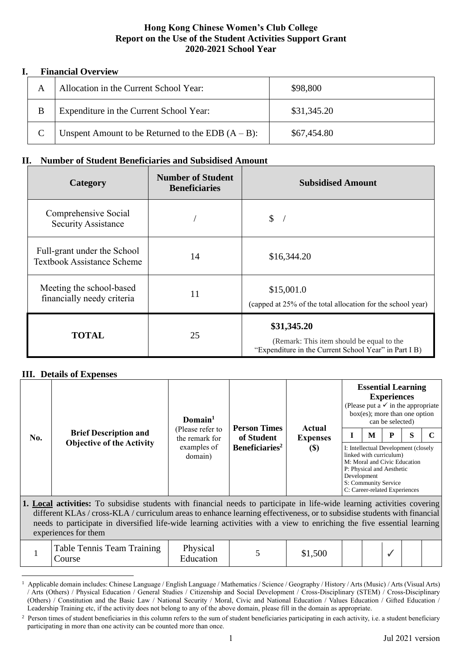## **Hong Kong Chinese Women's Club College Report on the Use of the Student Activities Support Grant 2020-2021 School Year**

## **I. Financial Overview**

|   | Allocation in the Current School Year:               | \$98,800    |
|---|------------------------------------------------------|-------------|
| B | Expenditure in the Current School Year:              | \$31,345.20 |
|   | Unspent Amount to be Returned to the EDB $(A - B)$ : | \$67,454.80 |

## **II. Number of Student Beneficiaries and Subsidised Amount**

| Category                                                         | <b>Number of Student</b><br><b>Beneficiaries</b> | <b>Subsidised Amount</b>                                                                                          |
|------------------------------------------------------------------|--------------------------------------------------|-------------------------------------------------------------------------------------------------------------------|
| Comprehensive Social<br><b>Security Assistance</b>               |                                                  | $\frac{1}{2}$                                                                                                     |
| Full-grant under the School<br><b>Textbook Assistance Scheme</b> | 14                                               | \$16,344.20                                                                                                       |
| Meeting the school-based<br>financially needy criteria           | 11                                               | \$15,001.0<br>(capped at 25% of the total allocation for the school year)                                         |
| <b>TOTAL</b>                                                     | 25                                               | \$31,345.20<br>(Remark: This item should be equal to the<br>"Expenditure in the Current School Year" in Part I B) |

## **III. Details of Expenses**

| No. |                              | Domain <sup>1</sup>                                                                                                                                                                           | <b>Person Times</b> |  |                                                                                                                                                                                                      | <b>Essential Learning</b><br>(Please put a $\checkmark$ in the appropriate<br>$box(es)$ ; more than one option | <b>Experiences</b><br>can be selected) |  |  |
|-----|------------------------------|-----------------------------------------------------------------------------------------------------------------------------------------------------------------------------------------------|---------------------|--|------------------------------------------------------------------------------------------------------------------------------------------------------------------------------------------------------|----------------------------------------------------------------------------------------------------------------|----------------------------------------|--|--|
|     | <b>Brief Description and</b> | (Please refer to<br>of Student<br>the remark for<br><b>Expenses</b><br><b>Objective of the Activity</b><br>Beneficiaries <sup>2</sup><br>examples of<br>$\left( \mathbb{S}\right)$<br>domain) | Actual              |  | M                                                                                                                                                                                                    | P                                                                                                              | S                                      |  |  |
|     |                              |                                                                                                                                                                                               |                     |  | I: Intellectual Development (closely<br>linked with curriculum)<br>M: Moral and Civic Education<br>P: Physical and Aesthetic<br>Development<br>S: Community Service<br>C: Career-related Experiences |                                                                                                                |                                        |  |  |

**1. Local activities:** To subsidise students with financial needs to participate in life-wide learning activities covering different KLAs / cross-KLA / curriculum areas to enhance learning effectiveness, or to subsidise students with financial needs to participate in diversified life-wide learning activities with a view to enriching the five essential learning experiences for them

|  | Table Tennis Team Training<br>Course | Physical<br>Education |  | \$1,500 |  |  |  |  |  |
|--|--------------------------------------|-----------------------|--|---------|--|--|--|--|--|
|--|--------------------------------------|-----------------------|--|---------|--|--|--|--|--|

<sup>&</sup>lt;sup>1</sup> Applicable domain includes: Chinese Language / English Language / Mathematics / Science / Geography / History / Arts (Music) / Arts (Visual Arts) / Arts (Others) / Physical Education / General Studies / Citizenship and Social Development / Cross-Disciplinary (STEM) / Cross-Disciplinary (Others) / Constitution and the Basic Law / National Security / Moral, Civic and National Education / Values Education / Gifted Education / Leadership Training etc, if the activity does not belong to any of the above domain, please fill in the domain as appropriate.

<sup>&</sup>lt;sup>2</sup> Person times of student beneficiaries in this column refers to the sum of student beneficiaries participating in each activity, i.e. a student beneficiary participating in more than one activity can be counted more than once.